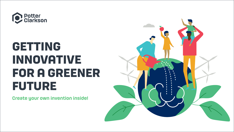

## **GETTING INNOVATIVE FOR A GREENER FUTURE**

Create your own invention inside!

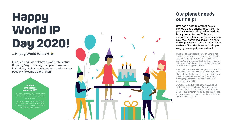## Our planet needs

our help! Creating a path to protecting our planet is a top priority today, so this year we're focussing on innovations for a greener future. This is our common challenge, and everyone can play their part in making our planet a better place to live. With that in mind, we have filled this book with simple ways you can get involved too! There are so many people doing amazing things to protect our planet. These are ordinary people whose stories inspire us all to make a difference, and that's why we've included them here. Read on to hear stories of the young and brilliant inventors who are protecting planet earth. Then finally, be prepared to add your own invention to this book…you are the future, and you are our planet's hope! Perhaps you will be among the next characters who make an extraordinary impact, helping to protect the earth and all the other wonderful forms of life. On World Intellectual Property Day 2020, let us explore new ideas and ways of doing things as we work towards a green future together. Why? Because our tomorrow will be built on the choices we make today. This planet is our home… let's take

better care of it together!

## **Happy World IP Day 2020!**

### …Happy World What?! W

Every 26 April, we celebrate World Intellectual Property Day! It's a day to applaud creations, inventions, designs and ideas, along with all the people who came up with them.

#### **What is intellectual property (IP)?**

Intellectual property (IP) is any creation of the mind: inventions, books, artwork, designs, ideas!

IP rights make sure that the people who have these ideas are recognised for them, and no one else can pretend that they had the idea first.

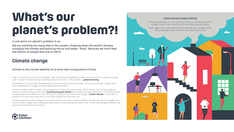Have you heard that our world is changing? That some places are getting unusually hot while others are getting unusually cold? Overall, the earth's climate is getting warmer and warmer. This is known as **global warming**.

The climate of our planet has changed before, but this time it's because of people. We are causing these changes, and they're happening on a bigger scale and faster than ever before.

Scientists all agree that the earth's rising temperature is down to human activity. When we burn coal, oil and gas (fossil fuels) to produce energy and electricity, **greenhouse gases (GHGs)** are released into the atmosphere. GHG's help to keep our planet warm, but when there are too many, they trap too much heat from sunlight. **Carbon dioxide**, in particular, is trapping more and more heat, and it is this that is making the world warm up.

The big problem with these changes in climate is that they can lead to natural disasters, like stronger storms, droughts and floods. Climate change is also melting the earth's polar ice and causing sea levels to rise. All this can damage the places that people, animals and plants call home.





In one word, our planet's problem is *us*.

We are catching too many fish in the oceans, chopping down the world's forests, changing the climate and polluting the air and water. Why? Because we must feed the billions of people who live on earth.

# **What's our planet's problem?!**

### Climate change

### Climate is the normal weather of an area over a long period of time.

#### Greenhouse Gases (GHGs)

GHGs are all around us, in the air and up in the sky. They keep heat from sunlight closer to earth, warming it so that living things can survive.

Water vapor (H<sub>2</sub>O), carbon dioxide (CO<sub>2</sub>), methane (CH<sub>4</sub>), nitrogen oxides (NO<sub>x</sub>), dinitrogen oxide (N<sub>2</sub>O), and ozone (O<sub>3</sub>) are all GHGs.

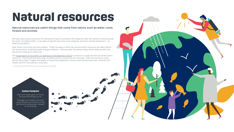## **Natural resources**

#### Natural resources are useful things that come from nature, such as water, rocks, forests and animals.





We have used natural resources for thousands of years to produce the things we need, like clothes or food, because the earth can replace them. It can take a long time, but more trees will grow, and more animals will be born. So, what's the problem?

The <u>Organisation for Economic Co-operation & Development (OECD)<sup>1</sup> carried out a study into the use of the earth's</u> resources. They found that every year, 62 billion tonnes of resources are removed. That's ten tonnes for every person alive today! Imagine the weight of around two elephants in wood, fossil and biomass fuels, minerals and metals used for every person, every year.

Well, there's more than just one problem. Firstly, the ways in which we use the earth's resources are often bad for the environment, producing waste and gas emissions. And secondly, the planet simply cannot keep up with how fast we are using up its resources!

1: www.edie.net/news/5/20-of-Earths-natural-resource-use-goes-to-waste/23607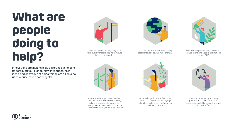Innovations are making a big difference in helping us safeguard our planet. New inventions, new ideas, and new ways of doing things are all helping us to reduce, reuse and recycle!



New technologies are being developed, such as hybrid and electric cars that emit far fewer GHGs.



More people are choosing to cycle or take public transport, helping to reduce their carbon footprints.



Countries around the world are working together to slow down climate change.



People are starting to use more clean energy, such as hydropower, or wind, solar and geothermal energy. Clean energy releases little to no GHGs and is renewable by nature, so it will not run out!







Shops no longer hand out free plastic carrier bags. Reusable shopping bags make a huge difference in reducing how much we consume!



Businesses are creating and using products that can be recycled or decompose easily, like paper straws and compostable forks.



## **What are people doing to help?**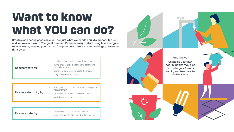## **Want to know what YOU can do?**

Creative and caring people like you are just what we need to build a greener future and improve our world. The great news is, it's super easy to start using less energy or reduce waste, keeping your carbon footprint down. Here are some things you can do right away!

> not using them. switching off lights when you leave a room.

- recycling paper, plastic, glass and aluminium.
- selling or donating old clothing and other items you no longer use.
- taking your own, reusable bag to the shops.
- using a refillable water bottle.

• turning off TVs and other electronics when you're

- 
- air drying your hair and clothes.

Who knows? Changing your own energy habits may also motivate your friends, family and teachers to do the same.



Use less electricity by:

Use less water by:

- showering for a shorter amount of time.
- turning the tap off while you're brushing your teeth.





Reduce waste by: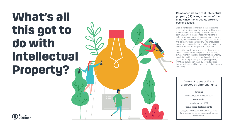## **What's all this got to do with Intellectual Property?**





Well, IP rights exist to make sure that those who create or invent get paid for their work. No one can spend all their time thinking of ideas if they can't earn a living from them! Those who hold the IP rights can charge money if someone wants to use their IP, and nobody else can copy or use it without first asking for their permission. This encourages people to be innovative and creative, and ultimately benefits the lives of everyone on our planet.

Across the world, young people are showing their determination to save the planet! It is their new, climate-friendly ideas and thinking that are urgently needed to tackle the climate crisis and achieve a green future. By reaching out to young people, IP Offices can support them by protecting their innovative ideas, enabling them to turn their dreams into reality.

#### Different types of IP are protected by different rights

**Patents:**

inventions, such as electric cars

**Trademarks:**

brands, such as WWF

#### **Copyright and related rights:**

designs, and creative works such as films, TV programmes, songs and plays about the environment.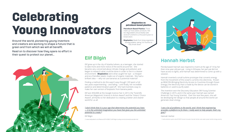Around the world, pioneering young inventors and creators are working to shape a future that is green and from which we will all benefit.

Read on to discover how they spare no effort in their quest to protect our planet...



# **Celebrating Young Innovators**

### Hannah Herbst

Florida-based Hannah was inspired to invent at the age of 14 by her then-nine-year-old pen pal. Living in Ethiopia, her pen pal did not have access to lights, and Hannah was determined to come up with a solution.

Hannah invented a small turbine prototype that converts energy from the movement of the ocean's currents into electricity. Known as BEACON (Bringing Electricity Access to Countries through Ocean Energy), the electricity that is made by the device can be stored in batteries or used to purify water.

The invention won the Discovery Education 3M Young Scientist Challenge in 2015, and in the same year Hannah was named America's Top Young Scientist. Over the next few years, she will be developing her design so that people all around the world can generate clean energy.

### Elif Bilgin

Elif grew up in the city of Istanbul where, as a teenager, she started to take more and more notice of the world around her. She became very concerned about climate change and pollution and began to research what could be done in order to live in a cleaner environment. **Bioplastics** were what caught her eye – a cheaper and eco-friendlier plastic made out of organic materials. She had a brilliant idea — why not use bananas as a potential material?

**Bioplastics:** Made from living organisms. Biodegradable, taking 3-6 months to fully break down.



Finding a method to do this wasn't easy though! Elif spent a full two years experimenting – and failing – until finally, her incredible patience and determination paid off. She had invented a way to make her own version of bioplastic from banana peels.

Elif won \$50,000 at the Google Science Fair in 2013, the "Scientific American Magazine's Science in Action Award" and the "Voters' Choice Award", all thanks to her dedication to creating a better and cleaner world for us all.

*'I don't think that it is your age that determines the potential you have — it is the unlimited imagination you have that gives you the unlimited potential to create.'2*

Elif Bilgin

*'I see a lot of problems in the world, and I think that engineering provides a platform to fix them. I really want to help people; that's my goal.'3*

Hannah Herbst

3: kwhs.wharton.upenn.edu/2018/01/social-innovator-hannah-herbst-uses-water-power-tackle-energy-poverty

#### **Bioplastics vs petroleum based plastics**

**Petroleum-Based Plastics:** These make up most plastic products. Not bio-degradable and probably take several hundred to a thousand years to break down.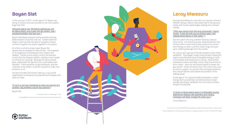### Boyan Slat

In the summer of 2011, at the age of 16, Boyan was diving in Greece and was shocked to see more plastic bags than fish!

#### *'Everyone said to me: 'Oh there's nothing you can do about plastic once it gets into the oceans,' and I wondered whether that was true.' 4*

Boyan had always enjoyed solving puzzles and was determined to crack this one too. It didn't take him long to come up with the idea of using the ocean's currents to gather the plastic together in one place.

At school, a science project gave Boyan the opportunity to develop his idea further. He imagined an arrangement of floating barriers, fixed to the seabed. Thanks to the ocean current, the barriers could catch the floating rubbish, making it much easier to remove for recycling. Because the waves would pass underneath the barriers, fish could safely swim beneath. There would be no gas emissions, and the collected ocean plastic could be recycled to make new products or oil.

He later founded The Ocean Cleanup, a non-profit organization, to develop his proposed technologies and save our seas.

#### *'To me it is not very motivating to solve one percent of a problem. Big problems require big solutions' 5*

Boyan Slat

4: theworldincubator.com/blog/page-11.html

5: www.digitaltrends.com/cool-tech/ocean-cleanup-project-boyan-slat-interview





### Leroy Mwasuru

During the building of a new dorm at Leyroy's school in Western Kenya, tractors disturbed hole-in-the-ground toilets and human waste began leaking into a stream nearby.

#### *"There was uproar from the local community," Leyroy recalls. "It was the only source of fresh water, and nobody wants faeces in their water." 6*

But this wasn't the only problem faced by Leyroy's community. His school was also using firewood in the kitchen, which meant that forests around the school were being cut down, and the cooks' lungs and eyes were suffering damage from the smoke.

So, Leyroy and a group of friends vowed to solve these problems. They began a high school project looking for ways to provide alternative renewable energy to local communities and institutions in Kenya. Around their homework, exams and daily chores, they found time to form a plan – why not use human waste to power the gas stoves? Initial reluctance from the community soon turned to support, as Leyroy's first prototype powered the school's kitchen and solved the problem of the leaking poop!

At the age of 16, Leyroy founded Greenpact, a clean energy start-up working to provide access to clean energy and proper sanitation for more than 6 million Kenyan households.

*'In slums in Kenya where waste is mishandled causing waterborne diseases like Dysentery and Cholera, Greenpact will [help change] the status quo' 7*

Leroy Mwasuru

6: www.nbc-2.com/story/28207399/cooking-with-gas-teenager-brings-poop-power-to-kenyan-school

7: www.huffingtonpost.co.uk/entry/kenya-entrepreneurs-biogas-poo-power\_uk\_57851c77e4b0c7053213a8e2





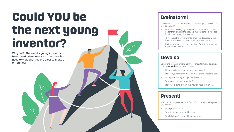Why not? The world's young innovators have clearly demonstrated that there is no need to wait until you are older to make a difference!

### Brainstorm!

One of the best ways to collect ideas for developing an invention is to brianstorm!

- Make a list of everyday inventions that make life easier or better than it was in the past, e.g. remote controls, wireless headphones, portable chargers.
- Think about the environmental problems discussed in this book, what specific problems would you like to solve?
- Brainstorm a list of possible inventions. Write them down and explain what they do.

- What you've invented.
- Who it's for and why it will be used.
- What skills you've learned from this activity.



### Develop!

Select one of the inventions from your brainstorm and develop it! Use the **worksheet** on the next page!

- Draw of picture of your invention and name it.
- Describe your invention. What is it made of and what does it do?
- What problem do you hope to solve with it?
- Who would use your invention?
- How would it make their life better or more convenient?

### Present!

Practice a short presentation in front of your family, making sure you explain:

## **Could YOU be the next young inventor?**

**Post**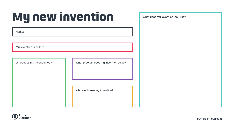

Name:

My invention is called:

What does my invention do? Notally and Most problem does my invention solve?

Who would use my invention?



## **My new invention**